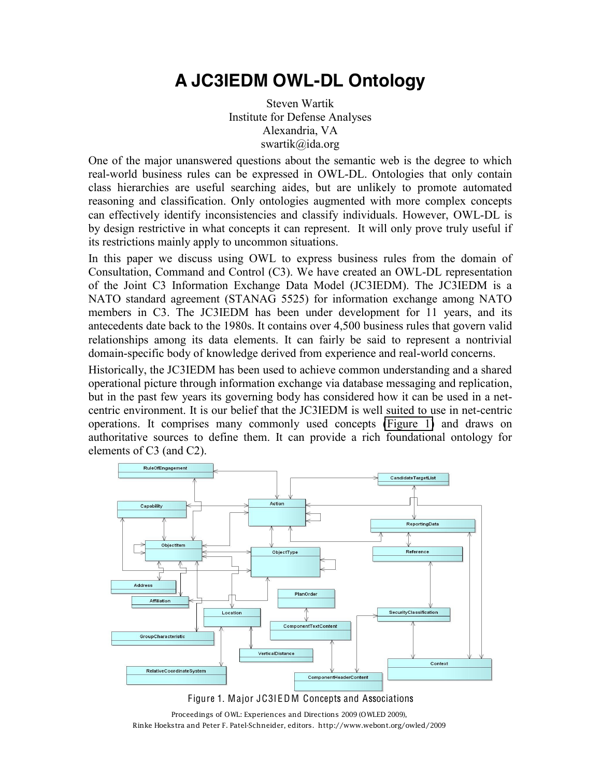## **A JC3IEDM OWL-DL Ontology**

Steven Wartik Institute for Defense Analyses Alexandria, VA swartik@ida.org

One of the major unanswered questions about the semantic web is the degree to which real-world business rules can be expressed in OWL-DL. Ontologies that only contain class hierarchies are useful searching aides, but are unlikely to promote automated reasoning and classification. Only ontologies augmented with more complex concepts can effectively identify inconsistencies and classify individuals. However, OWL-DL is by design restrictive in what concepts it can represent. It will only prove truly useful if its restrictions mainly apply to uncommon situations.

In this paper we discuss using OWL to express business rules from the domain of Consultation, Command and Control (C3). We have created an OWL-DL representation of the Joint C3 Information Exchange Data Model (JC3IEDM). The JC3IEDM is a NATO standard agreement (STANAG 5525) for information exchange among NATO members in C3. The JC3IEDM has been under development for 11 years, and its antecedents date back to the 1980s. It contains over 4,500 business rules that govern valid relationships among its data elements. It can fairly be said to represent a nontrivial domain-specific body of knowledge derived from experience and real-world concerns.

Historically, the JC3IEDM has been used to achieve common understanding and a shared operational picture through information exchange via database messaging and replication, but in the past few years its governing body has considered how it can be used in a netcentric environment. It is our belief that the JC3IEDM is well suited to use in net-centric operations. It comprises many commonly used concepts [\(Figure 1\)](#page-0-0) and draws on authoritative sources to define them. It can provide a rich foundational ontology for elements of C3 (and C2).





<span id="page-0-0"></span>Proceedings of OWL: Experiences and Directions 2009 (OWLED 2009), Rinke Hoekstra and Peter F. Patel-Schneider, editors. http://www.webont.org/owled/2009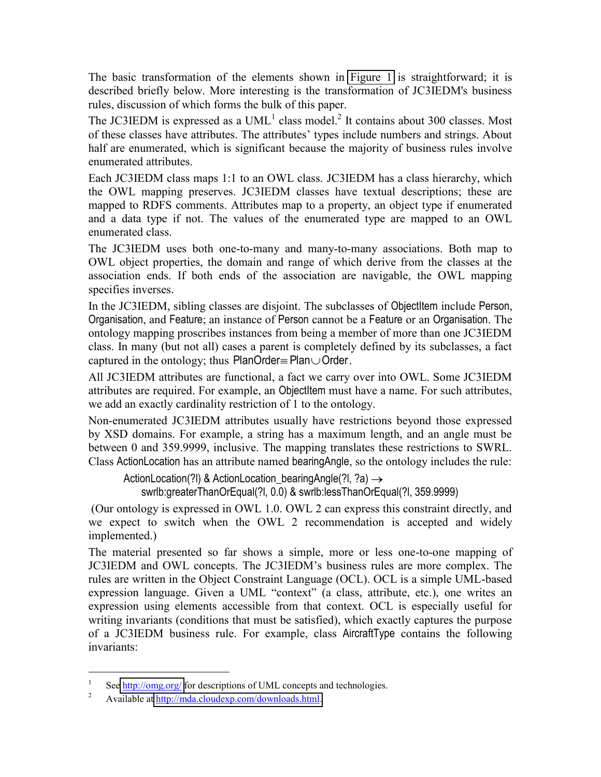The basic transformation of the elements shown in [Figure 1](#page-0-0) is straightforward; it is described briefly below. More interesting is the transformation of JC3IEDM's business rules, discussion of which forms the bulk of this paper.

The JC3IEDM is expressed as a  $UML<sup>1</sup>$  class model.<sup>2</sup> It contains about 300 classes. Most of these classes have attributes. The attributes' types include numbers and strings. About half are enumerated, which is significant because the majority of business rules involve enumerated attributes.

Each JC3IEDM class maps 1:1 to an OWL class. JC3IEDM has a class hierarchy, which the OWL mapping preserves. JC3IEDM classes have textual descriptions; these are mapped to RDFS comments. Attributes map to a property, an object type if enumerated and a data type if not. The values of the enumerated type are mapped to an OWL enumerated class.

The JC3IEDM uses both one-to-many and many-to-many associations. Both map to OWL object properties, the domain and range of which derive from the classes at the association ends. If both ends of the association are navigable, the OWL mapping specifies inverses.

In the JC3IEDM, sibling classes are disjoint. The subclasses of Objectitem include Person, Organisation, and Feature; an instance of Person cannot be a Feature or an Organisation. The ontology mapping proscribes instances from being a member of more than one JC3IEDM class. In many (but not all) cases a parent is completely defined by its subclasses, a fact captured in the ontology; thus  $PlanOrder = Plan\cup Order$ .

All JC3IEDM attributes are functional, a fact we carry over into OWL. Some JC3IEDM attributes are required. For example, an Objectitem must have a name. For such attributes, we add an exactly cardinality restriction of 1 to the ontology.

Non-enumerated JC3IEDM attributes usually have restrictions beyond those expressed by XSD domains. For example, a string has a maximum length, and an angle must be between 0 and 359.9999, inclusive. The mapping translates these restrictions to SWRL. Class Action Location has an attribute named bearing Angle, so the ontology includes the rule:

```
ActionLocation(?I) & ActionLocation bearing Angle (?I, ?a) \rightarrowswrlb:greaterThanOrEqual(?l, 0.0) & swrlb:lessThanOrEqual(?l, 359.9999)
```
(Our ontology is expressed in OWL 1.0. OWL 2 can express this constraint directly, and we expect to switch when the OWL 2 recommendation is accepted and widely implemented.)

The material presented so far shows a simple, more or less one-to-one mapping of JC3IEDM and OWL concepts. The JC3IEDM's business rules are more complex. The rules are written in the Object Constraint Language (OCL). OCL is a simple UML-based expression language. Given a UML "context" (a class, attribute, etc.), one writes an expression using elements accessible from that context. OCL is especially useful for writing invariants (conditions that must be satisfied), which exactly captures the purpose of a JC3IEDM business rule. For example, class AircraftType contains the following invariants:

<sup>&</sup>lt;sup>1</sup> See  $\frac{http://omg.org/}{http://omg.org/}$  for descriptions of UML concepts and technologies.

<sup>2</sup> Available at [http://mda.cloudexp.com/downloads.html.](http://mda.cloudexp.com/downloads.html)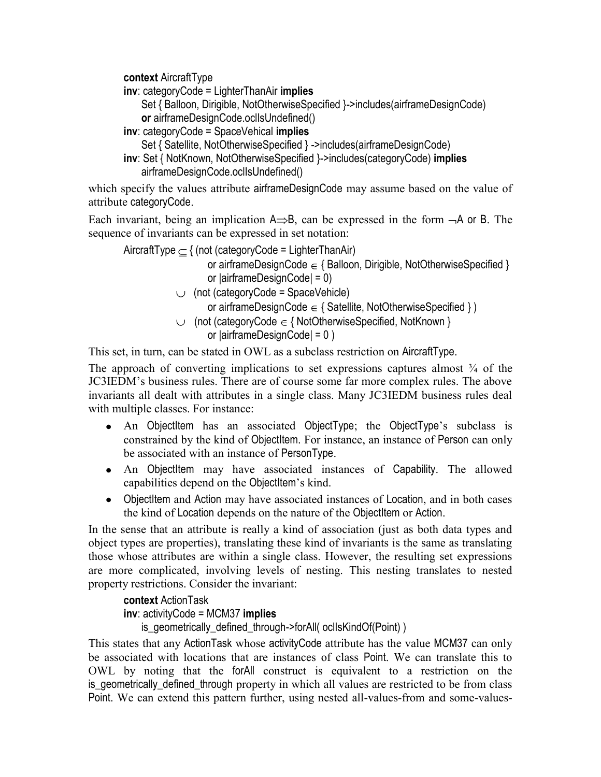**context AircraftType** 

 $inv:$  category Code = Lighter Than Air implies

- Set { Balloon, Dirigible, NotOtherwiseSpecified }->includes(airframeDesignCode) or airframeDesignCode.oclIsUndefined()
- inv: categoryCode = SpaceVehical implies
	- Set { Satellite, NotOtherwiseSpecified } ->includes(airframeDesignCode)
- inv: Set { NotKnown, NotOtherwiseSpecified }->includes(categoryCode) implies airframeDesignCode.ocllsUndefined()

which specify the values attribute airframeDesignCode may assume based on the value of attribute categoryCode.

Each invariant, being an implication  $A \Rightarrow B$ , can be expressed in the form  $-A$  or B. The sequence of invariants can be expressed in set notation:

AircraftType  $\subseteq$  { (not (categoryCode = LighterThanAir) or airframeDesignCode  $\in$  { Balloon, Dirigible, NotOtherwiseSpecified } or  $|airframeDesignCode| = 0$  $\cup$  (not (category Code = Space Vehicle)

or airframeDesignCode  $\in$  { Satellite, NotOtherwiseSpecified })

 $\cup$  (not (categoryCode  $\in$  { NotOtherwiseSpecified, NotKnown }

or 
$$
|airframeDesignCode| = 0
$$

This set, in turn, can be stated in OWL as a subclass restriction on AircraftType.

The approach of converting implications to set expressions captures almost  $\frac{3}{4}$  of the JC3IEDM's business rules. There are of course some far more complex rules. The above invariants all dealt with attributes in a single class. Many JC3IEDM business rules deal with multiple classes. For instance:

- An Objectitem has an associated ObjectType; the ObjectType's subclass is constrained by the kind of Objectitem. For instance, an instance of Person can only be associated with an instance of PersonType.
- An Objectitem may have associated instances of Capability. The allowed capabilities depend on the Objectitem's kind.
- ObjectItem and Action may have associated instances of Location, and in both cases the kind of Location depends on the nature of the ObjectItem or Action.

In the sense that an attribute is really a kind of association (just as both data types and object types are properties), translating these kind of invariants is the same as translating those whose attributes are within a single class. However, the resulting set expressions are more complicated, involving levels of nesting. This nesting translates to nested property restrictions. Consider the invariant:

## context ActionTask

## $inv:$  activity Code = MCM37 implies

is\_geometrically\_defined\_through->forAll( ocllsKindOf(Point) )

This states that any ActionTask whose activityCode attribute has the value MCM37 can only be associated with locations that are instances of class Point. We can translate this to OWL by noting that the forAll construct is equivalent to a restriction on the is geometrically defined through property in which all values are restricted to be from class Point. We can extend this pattern further, using nested all-values-from and some-values